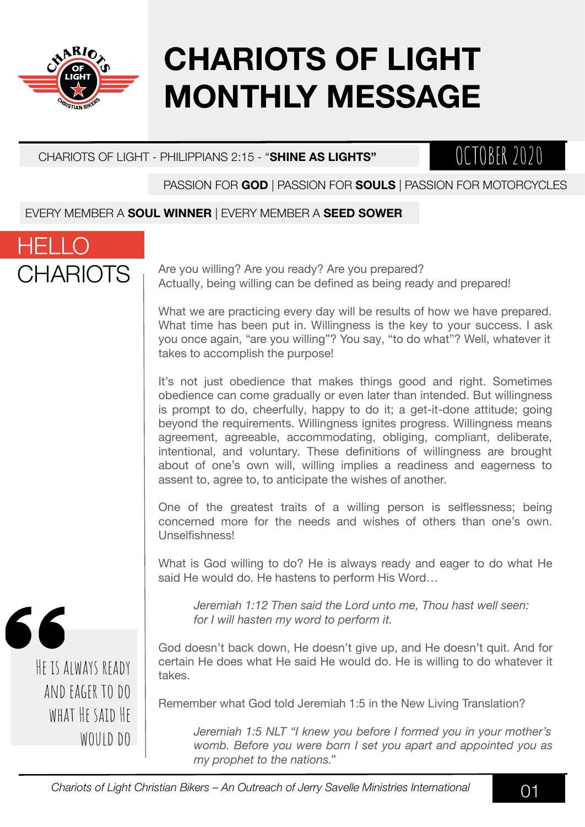

HELLO

# **CHARIOTS OF LIGHT MONTHLY MESSAGE**

#### CHARIOTS OF LIGHT - PHILIPPIANS 2:15 - "**SHINE AS LIGHTS"**

### OCTOBER 2020

PASSION FOR **GOD** | PASSION FOR **SOULS** | PASSION FOR MOTORCYCLES

#### EVERY MEMBER A **SOUL WINNER** | EVERY MEMBER A **SEED SOWER**



Are you willing? Are you ready? Are you prepared? Actually, being willing can be defined as being ready and prepared!

What we are practicing every day will be results of how we have prepared. What time has been put in. Willingness is the key to your success. I ask you once again, "are you willing"? You say, "to do what"? Well, whatever it takes to accomplish the purpose!

It's not just obedience that makes things good and right. Sometimes obedience can come gradually or even later than intended. But willingness is prompt to do, cheerfully, happy to do it; a get-it-done attitude; going beyond the requirements. Willingness ignites progress. Willingness means agreement, agreeable, accommodating, obliging, compliant, deliberate, intentional, and voluntary. These definitions of willingness are brought about of one's own will, willing implies a readiness and eagerness to assent to, agree to, to anticipate the wishes of another.

One of the greatest traits of a willing person is selflessness; being concerned more for the needs and wishes of others than one's own. Unselfishness!

What is God willing to do? He is always ready and eager to do what He said He would do. He hastens to perform His Word…

*Jeremiah 1:12 Then said the Lord unto me, Thou hast well seen: for I will hasten my word to perform it.*

God doesn't back down, He doesn't give up, and He doesn't quit. And for certain He does what He said He would do. He is willing to do whatever it takes.

Remember what God told Jeremiah 1:5 in the New Living Translation?

*Jeremiah 1:5 NLT "I knew you before I formed you in your mother's womb. Before you were born I set you apart and appointed you as my prophet to the nations."*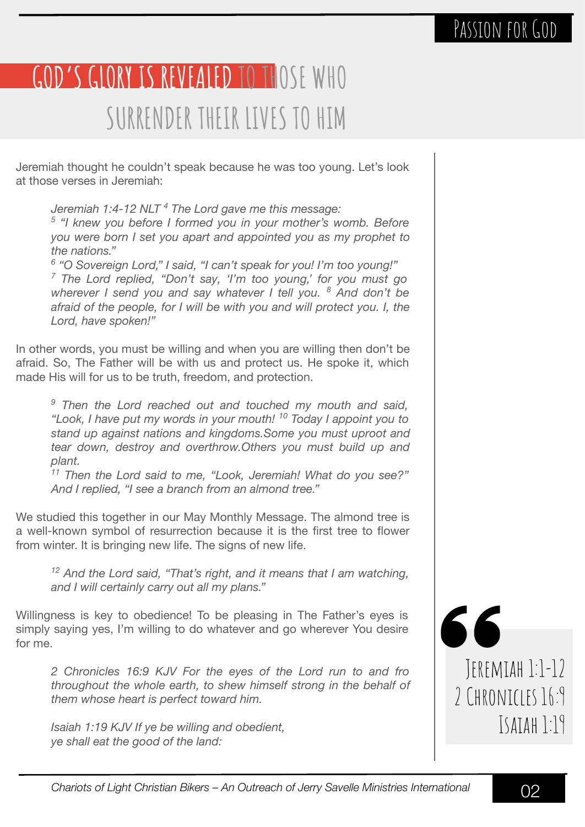### PASSION FOR GOD

# **GOD'S GLORY IS REVEALED TO THOSE WHO SURRENDER THEIR LIVES TO HIM**

Jeremiah thought he couldn't speak because he was too young. Let's look at those verses in Jeremiah:

*Jeremiah 1:4-12 NLT <sup>4</sup> The Lord gave me this message:*

<sup>5</sup> "I knew you before I formed you in your mother's womb. Before *you were born I set you apart and appointed you as my prophet to the nations."*

*6 "O Sovereign Lord," I said, "I can't speak for you! I'm too young!" 7 The Lord replied, "Don't say, 'I'm too young,' for you must go wherever I send you and say whatever I tell you. <sup>8</sup> And don't be afraid of the people, for I will be with you and will protect you. I, the Lord, have spoken!"* 

In other words, you must be willing and when you are willing then don't be afraid. So, The Father will be with us and protect us. He spoke it, which made His will for us to be truth, freedom, and protection.

*9 Then the Lord reached out and touched my mouth and said, "Look, I have put my words in your mouth! 10 Today I appoint you to stand up against nations and kingdoms.Some you must uproot and tear down, destroy and overthrow.Others you must build up and plant.* 

*11 Then the Lord said to me, "Look, Jeremiah! What do you see?" And I replied, "I see a branch from an almond tree."*

We studied this together in our May Monthly Message. The almond tree is a well-known symbol of resurrection because it is the first tree to flower from winter. It is bringing new life. The signs of new life.

*12 And the Lord said, "That's right, and it means that I am watching, and I will certainly carry out all my plans."*

Willingness is key to obedience! To be pleasing in The Father's eyes is simply saying yes, I'm willing to do whatever and go wherever You desire for me.

*2 Chronicles 16:9 KJV For the eyes of the Lord run to and fro throughout the whole earth, to shew himself strong in the behalf of them whose heart is perfect toward him.*

*Isaiah 1:19 KJV If ye be willing and obedient, ye shall eat the good of the land:*

66 Jeremiah 1:1-12 2 CHRONICLES 16:9 Isaiah 1:19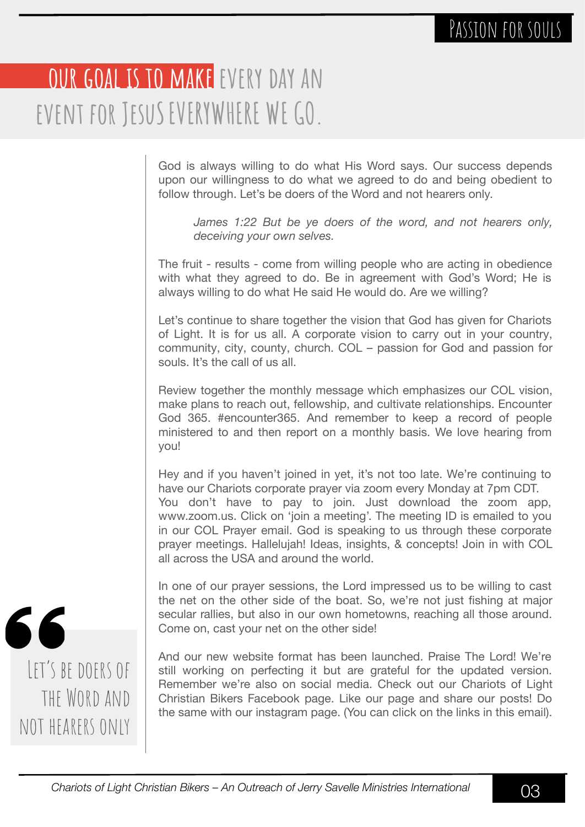## **OUR GOAL IS TO MAKE EVERY DAY AN event for JesuSEVERYWHERE WE GO.**

God is always willing to do what His Word says. Our success depends upon our willingness to do what we agreed to do and being obedient to follow through. Let's be doers of the Word and not hearers only.

*James 1:22 But be ye doers of the word, and not hearers only, deceiving your own selves.*

The fruit - results - come from willing people who are acting in obedience with what they agreed to do. Be in agreement with God's Word; He is always willing to do what He said He would do. Are we willing?

Let's continue to share together the vision that God has given for Chariots of Light. It is for us all. A corporate vision to carry out in your country, community, city, county, church. COL – passion for God and passion for souls. It's the call of us all.

Review together the monthly message which emphasizes our COL vision, make plans to reach out, fellowship, and cultivate relationships. Encounter God 365. #encounter365. And remember to keep a record of people ministered to and then report on a monthly basis. We love hearing from you!

Hey and if you haven't joined in yet, it's not too late. We're continuing to have our Chariots corporate prayer via zoom every Monday at 7pm CDT. You don't have to pay to join. Just download the zoom app, www.zoom.us. Click on 'join a meeting'. The meeting ID is emailed to you in our COL Prayer email. God is speaking to us through these corporate prayer meetings. Hallelujah! Ideas, insights, & concepts! Join in with COL all across the USA and around the world.

In one of our prayer sessions, the Lord impressed us to be willing to cast the net on the other side of the boat. So, we're not just fishing at major secular rallies, but also in our own hometowns, reaching all those around. Come on, cast your net on the other side!

And our new website format has been launched. Praise The Lord! We're still working on perfecting it but are grateful for the updated version. Remember we're also on social media. Check out our Chariots of Light Christian Bikers Facebook page. Like our page and share our posts! Do the same with our instagram page. (You can click on the links in this email).